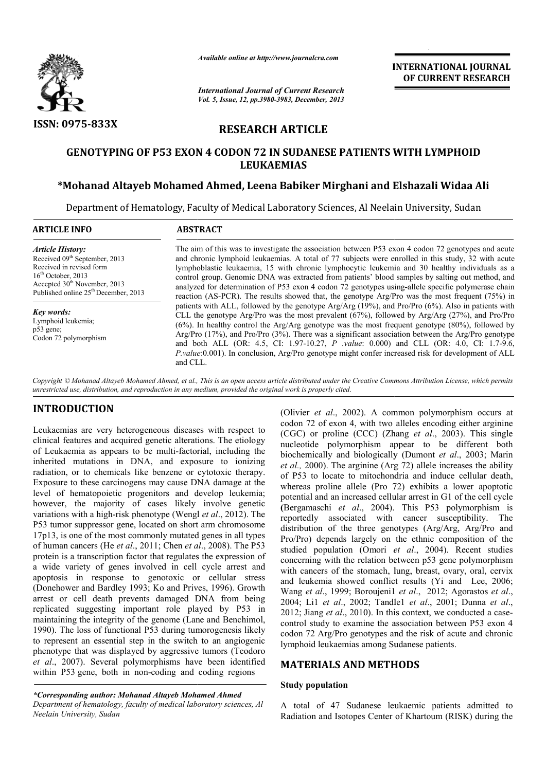

*Available online at http://www.journalcra.com*

*International Journal of Current Research Vol. 5, Issue, 12, pp.3980-3983, December, 2013* INTERNATIONAL JOURNAL OF CURRENT RESEARCH

# RESEARCH ARTICLE

# GENOTYPING OF P53 EXON 4 CODON 72 IN SUDANESE PATIENTS WITH LYMPHOID 72 IN SUDANESE LEUKAEMIAS

## \*Mohanad Altayeb Mohamed Ahmed, Leena Babiker Mirghani and Elshazali Widaa Ali

Department of Hematology, Faculty of Medical Laboratory Sciences, Al Neelain University, Sudan

| <b>ARTICLE INFO</b>                                                                                                                                                                                                      | <b>ABSTRACT</b>                                                                                                                                                                                                                                                                                                                                                                                                                                                                                                                                                                                                                                                                                                                                                                                                                                                                                                                                                                                                                                                                                                                                                                                                                                                        |
|--------------------------------------------------------------------------------------------------------------------------------------------------------------------------------------------------------------------------|------------------------------------------------------------------------------------------------------------------------------------------------------------------------------------------------------------------------------------------------------------------------------------------------------------------------------------------------------------------------------------------------------------------------------------------------------------------------------------------------------------------------------------------------------------------------------------------------------------------------------------------------------------------------------------------------------------------------------------------------------------------------------------------------------------------------------------------------------------------------------------------------------------------------------------------------------------------------------------------------------------------------------------------------------------------------------------------------------------------------------------------------------------------------------------------------------------------------------------------------------------------------|
| <b>Article History:</b><br>Received 09 <sup>th</sup> September, 2013<br>Received in revised form<br>$16th$ October, 2013<br>Accepted 30 <sup>th</sup> November, 2013<br>Published online 25 <sup>th</sup> December, 2013 | The aim of this was to investigate the association between P53 exon 4 codon 72 genotypes and acute<br>and chronic lymphoid leukaemias. A total of 77 subjects were enrolled in this study, 32 with acute<br>lymphoblastic leukaemia, 15 with chronic lymphocytic leukemia and 30 healthy individuals as a<br>control group. Genomic DNA was extracted from patients' blood samples by salting out method, and<br>analyzed for determination of P53 exon 4 codon 72 genotypes using-allele specific polymerase chain<br>reaction (AS-PCR). The results showed that, the genotype Arg/Pro was the most frequent (75%) in<br>patients with ALL, followed by the genotype $Arg/Arg$ (19%), and Pro/Pro (6%). Also in patients with<br>CLL the genotype Arg/Pro was the most prevalent $(67%)$ , followed by Arg/Arg $(27%)$ , and Pro/Pro<br>$(6\%)$ . In healthy control the Arg/Arg genotype was the most frequent genotype $(80\%)$ , followed by<br>Arg/Pro $(17%)$ , and Pro/Pro $(3%)$ . There was a significant association between the Arg/Pro genotype<br>and both ALL (OR: 4.5, CI: 1.97-10.27, P value: 0.000) and CLL (OR: 4.0, CI: 1.7-9.6,<br>P.value:0.001). In conclusion, Arg/Pro genotype might confer increased risk for development of ALL<br>and CLL. |
| Key words:<br>Lymphoid leukemia;<br>$p53$ gene;<br>Codon 72 polymorphism                                                                                                                                                 |                                                                                                                                                                                                                                                                                                                                                                                                                                                                                                                                                                                                                                                                                                                                                                                                                                                                                                                                                                                                                                                                                                                                                                                                                                                                        |

Copyright © Mohanad Altayeb Mohamed Ahmed, et al., This is an open access article distributed under the Creative Commons Attribution License, which permits *unrestricted use, distribution, and reproduction in any medium, provided the original work is properly cited.*

# INTRODUCTION

Leukaemias are very heterogeneous diseases with respect to clinical features and acquired genetic alterations. The etiology of Leukaemia as appears to be multi-factorial, including the inherited mutations in DNA, and exposure to ionizing radiation, or to chemicals like benzene or cytotoxic therapy. Exposure to these carcinogens may cause DNA damage at the level of hematopoietic progenitors and develop leukemia; however, the majority of cases likely involve genetic variations with a high-risk phenotype (Wengl et al., 2012). The P53 tumor suppressor gene, located on short arm chromosome 17p13, is one of the most commonly mutated genes in all types of human cancers (He *et al*., 2011; Chen *et al* ., 2008). The P53 protein is a transcription factor that regulates the expression of a wide variety of genes involved in cell cycle arrest and apoptosis in response to genotoxic or cellular stress (Donehower and Bardley 1993; Ko and Prives, 1996). Growth arrest or cell death prevents damaged DNA from being h replicated suggesting important role played by P53 in maintaining the integrity of the genome (Lane and Benchimol, 1990). The loss of functional P53 during tumorogenesis likely maintaining the integrity of the genome (Lane and Benchimol, 1990). The loss of functional P53 during tumorogenesis likely to represent an essential step in the switch to an angiogenic phenotype that was displayed by aggressive tumors ( (Teodoro *et al*., 2007). Several polymorphisms have been identified within P53 gene, both in non-coding and coding regions ke benzene or cytotoxic therapy.<br>
In may cause DNA damage at the<br>
genitors and develop leukemia;<br>
Cases likely involve genetic<br>
enotype (Wengl *et al.*, 2012). The

*\*Corresponding author: Mohanad Altayeb Mohamed Ahmed Department of hematology, faculty of medical laboratory sciences, Al Neelain University, Sudan*

(Olivier *et al*., 2002). A common polymorphism occurs at codon 72 of exon 4, with two alleles encoding either arginine codon 72 of exon 4, with two alleles encoding either arginine (CGC) or proline (CCC) (Zhang *et al.*, 2003). This single nucleotide polymorphism appear to be different both nucleotide polymorphism appear to be different both biochemically and biologically (Dumont *et al.*, 2003; Marin *et al.,* 2000). The arginine (Arg 72) allele increases the ability of P53 to locate to mitochondria and induce cellular death, whereas proline allele (Pro 72) exhibits a lower apoptotic potential and an increased cellular arrest in G1 of the cell cycle potential and an increased cellular arrest in G1 of the cell cycle (Bergamaschi *et al.*, 2004). This P53 polymorphism is reportedly associated with cancer susceptibility. The distribution of the three genotypes (Arg/Arg, Arg/Pro and Pro/Pro) depends largely on the ethnic composition of the reportedly associated with cancer susceptibility. The distribution of the three genotypes (Arg/Arg, Arg/Pro and Pro/Pro) depends largely on the ethnic composition of the studied population (Omori *et al.*, 2004). Recent st concerning with the relation between p53 gene polymorphism concerning with the relation between p53 gene polymorphism<br>with cancers of the stomach, lung, breast, ovary, oral, cervix and leukemia showed conflict results (Yi and Lee, 2006; Wang *et al*., 1999; Boroujeni1 *et al*., 2012; Agorastos *et al*., 2004; Li1 *et al*., 2002; Tandle1 2002; *et al*., 2001; Dunna *et al*., 2012; Jiang et al., 2010). In this context, we conducted a casecontrol study to examine the association between P53 exon 4 control study to examine the association between P53 exon 4 codon 72 Arg/Pro genotypes and the risk of acute and chronic lymphoid leukaemias among Sudanese patients. **INTERNATIONAL JOUERNATION CONSUMPLATE**<br> **DETRICURENT RESEARCH**<br> **December, 2013**<br> **DETRICURENT RESEARCH**<br> **DETRICURENT RESEARCH**<br> **DETRICURENT RESEARCH**<br> **CENTENTS WITH LYMPHOID**<br> **ASSUMPLE CONSUMPLATE AND INTERNATION (A** 

## MATERIALS AND METHODS METHODS

#### Study population

A total of 47 Sudanese leukaemic patients admitted to Radiation and Isotopes Center of Khartoum (RISK) during the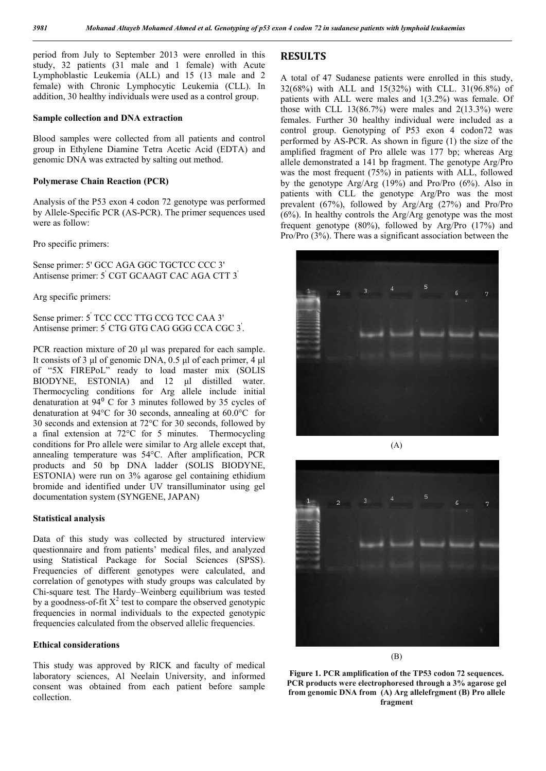period from July to September 2013 were enrolled in this study, 32 patients (31 male and 1 female) with Acute Lymphoblastic Leukemia (ALL) and 15 (13 male and 2 female) with Chronic Lymphocytic Leukemia (CLL). In addition, 30 healthy individuals were used as a control group.

#### Sample collection and DNA extraction

Blood samples were collected from all patients and control group in Ethylene Diamine Tetra Acetic Acid (EDTA) and genomic DNA was extracted by salting out method.

#### Polymerase Chain Reaction (PCR)

Analysis of the P53 exon 4 codon 72 genotype was performed by Allele-Specific PCR (AS-PCR). The primer sequences used were as follow:

Pro specific primers:

Sense primer: 5' GCC AGA GGC TGCTCC CCC 3' Antisense primer: 5' CGT GCAAGT CAC AGA CTT 3'

Arg specific primers:

Sense primer: 5' TCC CCC TTG CCG TCC CAA 3' Antisense primer: 5' CTG GTG CAG GGG CCA CGC 3' .

PCR reaction mixture of 20 μl was prepared for each sample. It consists of 3 μl of genomic DNA, 0.5 μl of each primer, 4 μl of "5X FIREPoL" ready to load master mix (SOLIS BIODYNE, ESTONIA) and 12 μl distilled water. Thermocycling conditions for Arg allele include initial denaturation at  $94^{\circ}$  C for 3 minutes followed by 35 cycles of denaturation at 94°C for 30 seconds, annealing at 60.0°C for 30 seconds and extension at 72°C for 30 seconds, followed by a final extension at 72°C for 5 minutes. Thermocycling conditions for Pro allele were similar to Arg allele except that, annealing temperature was 54°C. After amplification, PCR products and 50 bp DNA ladder (SOLIS BIODYNE, ESTONIA) were run on 3% agarose gel containing ethidium bromide and identified under UV transilluminator using gel documentation system (SYNGENE, JAPAN)

#### Statistical analysis

Data of this study was collected by structured interview questionnaire and from patients' medical files, and analyzed using Statistical Package for Social Sciences (SPSS). Frequencies of different genotypes were calculated, and correlation of genotypes with study groups was calculated by Chi-square test*.* The Hardy–Weinberg equilibrium was tested by a goodness-of-fit  $X^2$  test to compare the observed genotypic frequencies in normal individuals to the expected genotypic frequencies calculated from the observed allelic frequencies.

#### Ethical considerations

This study was approved by RICK and faculty of medical laboratory sciences, Al Neelain University, and informed consent was obtained from each patient before sample collection.

### RESULTS

A total of 47 Sudanese patients were enrolled in this study, 32(68%) with ALL and 15(32%) with CLL. 31(96.8%) of patients with ALL were males and 1(3.2%) was female. Of those with CLL  $13(86.7%)$  were males and  $2(13.3%)$  were females. Further 30 healthy individual were included as a control group. Genotyping of P53 exon 4 codon72 was performed by AS-PCR. As shown in figure (1) the size of the amplified fragment of Pro allele was 177 bp; whereas Arg allele demonstrated a 141 bp fragment. The genotype Arg/Pro was the most frequent (75%) in patients with ALL, followed by the genotype Arg/Arg (19%) and Pro/Pro (6%). Also in patients with CLL the genotype Arg/Pro was the most prevalent (67%), followed by Arg/Arg (27%) and Pro/Pro (6%). In healthy controls the Arg/Arg genotype was the most frequent genotype (80%), followed by Arg/Pro (17%) and Pro/Pro (3%). There was a significant association between the





(B)

Figure 1. PCR amplification of the TP53 codon 72 sequences. PCR products were electrophoresed through a 3% agarose gel from genomic DNA from (A) Arg allelefrgment (B) Pro allele fragment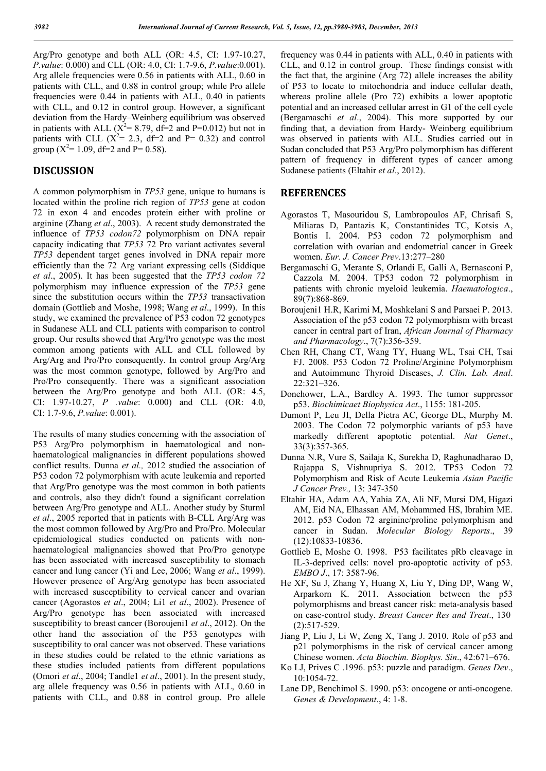Arg/Pro genotype and both ALL (OR: 4.5, CI: 1.97-10.27, *P.value*: 0.000) and CLL (OR: 4.0, CI: 1.7-9.6, *P.value*:0.001). Arg allele frequencies were 0.56 in patients with ALL, 0.60 in patients with CLL, and 0.88 in control group; while Pro allele frequencies were 0.44 in patients with ALL, 0.40 in patients with CLL, and  $0.12$  in control group. However, a significant deviation from the Hardy–Weinberg equilibrium was observed in patients with ALL ( $X^2 = 8.79$ , df=2 and P=0.012) but not in patients with CLL  $(X^2= 2.3, df=2$  and P= 0.32) and control group ( $X^2$ = 1.09, df=2 and P= 0.58).

### DISCUSSION

A common polymorphism in *TP53* gene, unique to humans is located within the proline rich region of *TP53* gene at codon 72 in exon 4 and encodes protein either with proline or arginine (Zhang *et al*., 2003). A recent study demonstrated the influence of *TP53 codon72* polymorphism on DNA repair capacity indicating that *TP53* 72 Pro variant activates several *TP53* dependent target genes involved in DNA repair more efficiently than the 72 Arg variant expressing cells (Siddique *et al*., 2005). It has been suggested that the *TP53 codon 72*  polymorphism may influence expression of the *TP53* gene since the substitution occurs within the *TP53* transactivation domain (Gottlieb and Moshe, 1998; Wang *et al*., 1999). In this study, we examined the prevalence of P53 codon 72 genotypes in Sudanese ALL and CLL patients with comparison to control group. Our results showed that Arg/Pro genotype was the most common among patients with ALL and CLL followed by Arg/Arg and Pro/Pro consequently. In control group Arg/Arg was the most common genotype, followed by Arg/Pro and Pro/Pro consequently. There was a significant association between the Arg/Pro genotype and both ALL (OR: 4.5, CI: 1.97-10.27, *P .value*: 0.000) and CLL (OR: 4.0, CI: 1.7-9.6, *P.value*: 0.001).

The results of many studies concerning with the association of P53 Arg/Pro polymorphism in haematological and nonhaematological malignancies in different populations showed conflict results. Dunna *et al.,* 2012 studied the association of P53 codon 72 polymorphism with acute leukemia and reported that Arg/Pro genotype was the most common in both patients and controls, also they didn't found a significant correlation between Arg/Pro genotype and ALL. Another study by Sturml *et al*., 2005 reported that in patients with B-CLL Arg/Arg was the most common followed by Arg/Pro and Pro/Pro. Molecular epidemiological studies conducted on patients with nonhaematological malignancies showed that Pro/Pro genotype has been associated with increased susceptibility to stomach cancer and lung cancer (Yi and Lee, 2006; Wang *et al*., 1999). However presence of Arg/Arg genotype has been associated with increased susceptibility to cervical cancer and ovarian cancer (Agorastos *et al*., 2004; Li1 *et al*., 2002). Presence of Arg/Pro genotype has been associated with increased susceptibility to breast cancer (Boroujeni1 *et al*., 2012). On the other hand the association of the P53 genotypes with susceptibility to oral cancer was not observed. These variations in these studies could be related to the ethnic variations as these studies included patients from different populations (Omori *et al*., 2004; Tandle1 *et al*., 2001). In the present study, arg allele frequency was 0.56 in patients with ALL, 0.60 in patients with CLL, and 0.88 in control group. Pro allele

frequency was 0.44 in patients with ALL, 0.40 in patients with CLL, and 0.12 in control group. These findings consist with the fact that, the arginine (Arg 72) allele increases the ability of P53 to locate to mitochondria and induce cellular death, whereas proline allele (Pro 72) exhibits a lower apoptotic potential and an increased cellular arrest in G1 of the cell cycle (Bergamaschi *et al*., 2004). This more supported by our finding that, a deviation from Hardy- Weinberg equilibrium was observed in patients with ALL. Studies carried out in Sudan concluded that P53 Arg/Pro polymorphism has different pattern of frequency in different types of cancer among Sudanese patients (Eltahir *et al*., 2012).

### **REFERENCES**

- Agorastos T, Masouridou S, Lambropoulos AF, Chrisafi S, Miliaras D, Pantazis K, Constantinides TC, Kotsis A, Bontis I. 2004. P53 codon 72 polymorphism and correlation with ovarian and endometrial cancer in Greek women. *Eur. J. Cancer Prev*.13:277–280
- Bergamaschi G, Merante S, Orlandi E, Galli A, Bernasconi P, Cazzola M. 2004. TP53 codon 72 polymorphism in patients with chronic myeloid leukemia. *Haematologica*., 89(7):868-869.
- Boroujeni1 H.R, Karimi M, Moshkelani S and Parsaei P. 2013. Association of the p53 codon 72 polymorphism with breast cancer in central part of Iran, *African Journal of Pharmacy and Pharmacology*., 7(7):356-359.
- Chen RH, Chang CT, Wang TY, Huang WL, Tsai CH, Tsai FJ. 2008. P53 Codon 72 Proline/Arginine Polymorphism and Autoimmune Thyroid Diseases, *J. Clin. Lab. Anal*. 22:321–326.
- Donehower, L.A., Bardley A. 1993. The tumor suppressor p53. *Biochimicaet Biophysica Act*., 1155: 181-205.
- Dumont P, Leu JI, Della Pietra AC, George DL, Murphy M. 2003. The Codon 72 polymorphic variants of p53 have markedly different apoptotic potential. *Nat Genet*., 33(3):357-365.
- Dunna N.R, Vure S, Sailaja K, Surekha D, Raghunadharao D, Rajappa S, Vishnupriya S. 2012. TP53 Codon 72 Polymorphism and Risk of Acute Leukemia *Asian Pacific J Cancer Prev.,* 13: 347-350
- Eltahir HA, Adam AA, Yahia ZA, Ali NF, Mursi DM, Higazi AM, Eid NA, Elhassan AM, Mohammed HS, Ibrahim ME. 2012. p53 Codon 72 arginine/proline polymorphism and cancer in Sudan. *Molecular Biology Reports*., 39 (12):10833-10836.
- Gottlieb E, Moshe O. 1998. P53 facilitates pRb cleavage in IL-3-deprived cells: novel pro-apoptotic activity of p53. *EMBO J*., 17: 3587-96.
- He XF, Su J, Zhang Y, Huang X, Liu Y, Ding DP, Wang W, Arparkorn K. 2011. Association between the p53 polymorphisms and breast cancer risk: meta-analysis based on case-control study. *Breast Cancer Res and Treat*., 130 (2):517-529.
- Jiang P, Liu J, Li W, Zeng X, Tang J. 2010. Role of p53 and p21 polymorphisms in the risk of cervical cancer among Chinese women. *Acta Biochim. Biophys. Sin*., 42:671–676.
- Ko LJ, Prives C .1996. p53: puzzle and paradigm. *Genes Dev*., 10:1054-72.
- Lane DP, Benchimol S. 1990. p53: oncogene or anti-oncogene. *Genes & Development*., 4: 1-8.